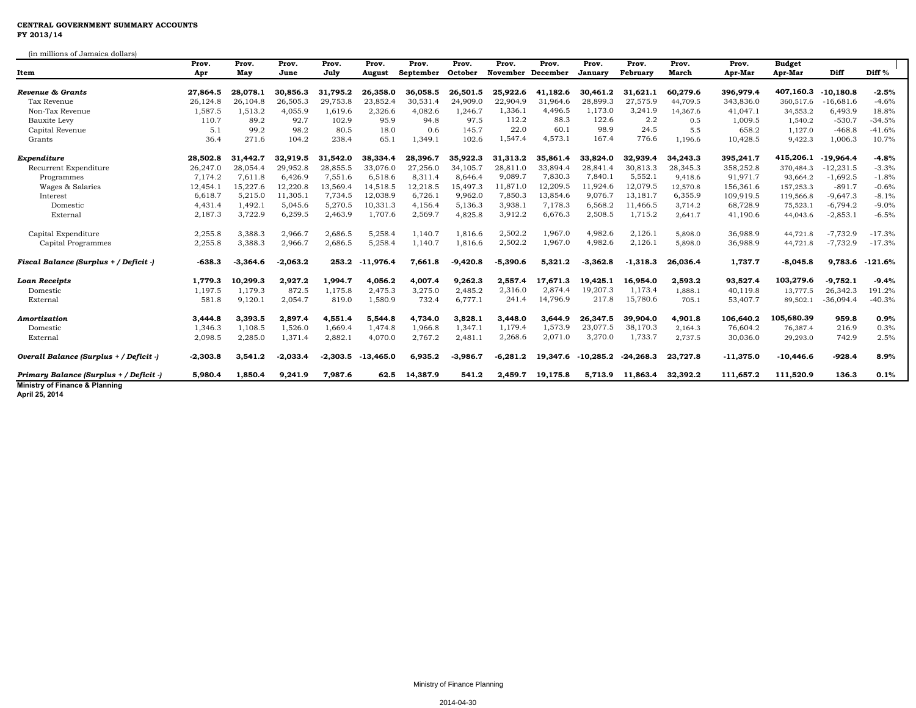## **CENTRAL GOVERNMENT SUMMARY ACCOUNTS FY 2013/14**

(in millions of Jamaica dollars)

| un immone of oaimated domare<br>Item      | Prov.<br>Apr | Prov.<br>May | Prov.<br>June | Prov.<br>July | Prov.<br>August | Prov.<br>September | Prov.<br>October | Prov.<br>November December | Prov.    | Prov.<br>January | Prov.<br>February | Prov.<br>March | Prov.<br>Apr-Mar | <b>Budget</b><br>Apr-Mar | Diff        | Diff <sup>%</sup> |  |
|-------------------------------------------|--------------|--------------|---------------|---------------|-----------------|--------------------|------------------|----------------------------|----------|------------------|-------------------|----------------|------------------|--------------------------|-------------|-------------------|--|
| Revenue & Grants                          | 27,864.5     | 28.078.1     | 30,856.3      | 31,795.2      | 26,358.0        | 36,058.5           | 26,501.5         | 25,922.6                   | 41.182.6 | 30,461.2         | 31,621.1          | 60,279.6       | 396,979.4        | 407,160.3                | $-10.180.8$ | $-2.5%$           |  |
| Tax Revenue                               | 26,124.8     | 26,104.8     | 26,505.3      | 29,753.8      | 23,852.4        | 30,531.4           | 24,909.0         | 22,904.9                   | 31,964.6 | 28,899.3         | 27,575.9          | 44,709.5       | 343,836.0        | 360,517.6                | $-16,681.6$ | $-4.6%$           |  |
| Non-Tax Revenue                           | 1,587.5      | 1,513.2      | 4,055.9       | 1,619.6       | 2,326.6         | 4,082.6            | 1,246.7          | 1,336.1                    | 4,496.5  | 1,173.0          | 3,241.9           | 14.367.6       | 41,047.1         | 34,553.2                 | 6,493.9     | 18.8%             |  |
| Bauxite Levy                              | 110.7        | 89.2         | 92.7          | 102.9         | 95.9            | 94.8               | 97.5             | 112.2                      | 88.3     | 122.6            | 2.2               | 0.5            | 1,009.5          | 1,540.2                  | $-530.7$    | $-34.5%$          |  |
| Capital Revenue                           | 5.1          | 99.2         | 98.2          | 80.5          | 18.0            | 0.6                | 145.7            | 22.0                       | 60.1     | 98.9             | 24.5              | 5.5            | 658.2            | 1,127.0                  | $-468.8$    | $-41.6%$          |  |
| Grants                                    | 36.4         | 271.6        | 104.2         | 238.4         | 65.1            | 1,349.1            | 102.6            | 1,547.4                    | 4,573.1  | 167.4            | 776.6             | 1,196.6        | 10,428.5         | 9,422.3                  | 1,006.3     | 10.7%             |  |
| Expenditure                               | 28,502.8     | 31,442.7     | 32,919.5      | 31,542.0      | 38,334.4        | 28,396.7           | 35,922.3         | 31,313.2                   | 35.861.4 | 33,824.0         | 32,939.4          | 34,243.3       | 395,241.7        | 415,206.1                | $-19.964.4$ | $-4.8%$           |  |
| Recurrent Expenditure                     | 26,247.0     | 28,054.4     | 29,952.8      | 28,855.5      | 33,076.0        | 27,256.0           | 34,105.7         | 28,811.0                   | 33,894.4 | 28,841.4         | 30,813.3          | 28,345.3       | 358,252.8        | 370,484.3                | $-12,231.5$ | $-3.3%$           |  |
| Programmes                                | 7,174.2      | 7,611.8      | 6,426.9       | 7,551.6       | 6,518.6         | 8,311.4            | 8,646.4          | 9,089.7                    | 7,830.3  | 7,840.1          | 5,552.1           | 9,418.6        | 91,971.7         | 93,664.2                 | $-1,692.5$  | $-1.8%$           |  |
| Wages & Salaries                          | 12,454.1     | 15,227.6     | 12,220.8      | 13,569.4      | 14,518.5        | 12,218.5           | 15,497.3         | 11,871.0                   | 12,209.5 | 11,924.6         | 12,079.5          | 12,570.8       | 156,361.6        | 157,253.3                | $-891.7$    | $-0.6%$           |  |
| Interest                                  | 6,618.7      | 5,215.0      | 11,305.1      | 7,734.5       | 12,038.9        | 6,726.1            | 9,962.0          | 7,850.3                    | 13,854.6 | 9,076.7          | 13,181.7          | 6,355.9        | 109,919.5        | 119,566.8                | $-9,647.3$  | $-8.1%$           |  |
| Domestic                                  | 4,431.4      | 1,492.1      | 5,045.6       | 5,270.5       | 10,331.3        | 4,156.4            | 5,136.3          | 3,938.1                    | 7,178.3  | 6,568.2          | 11,466.5          | 3,714.2        | 68,728.9         | 75,523.1                 | $-6,794.2$  | $-9.0%$           |  |
| External                                  | 2,187.3      | 3,722.9      | 6,259.5       | 2,463.9       | 1,707.6         | 2,569.7            | 4,825.8          | 3,912.2                    | 6,676.3  | 2,508.5          | 1,715.2           | 2,641.7        | 41,190.6         | 44,043.6                 | $-2,853.1$  | $-6.5%$           |  |
| Capital Expenditure                       | 2,255.8      | 3,388.3      | 2,966.7       | 2,686.5       | 5,258.4         | 1,140.7            | 1,816.6          | 2,502.2                    | 1,967.0  | 4,982.6          | 2,126.1           | 5,898.0        | 36,988.9         | 44,721.8                 | $-7,732.9$  | $-17.3%$          |  |
| Capital Programmes                        | 2,255.8      | 3,388.3      | 2,966.7       | 2,686.5       | 5,258.4         | 1,140.7            | 1,816.6          | 2,502.2                    | 1,967.0  | 4,982.6          | 2,126.1           | 5,898.0        | 36,988.9         | 44,721.8                 | $-7,732.9$  | $-17.3%$          |  |
| Fiscal Balance (Surplus + / Deficit -)    | $-638.3$     | $-3,364.6$   | $-2,063.2$    | 253.2         | $-11,976.4$     | 7,661.8            | $-9,420.8$       | $-5,390.6$                 | 5,321.2  | $-3,362.8$       | $-1,318.3$        | 26,036.4       | 1,737.7          | $-8,045.8$               | 9,783.6     | $-121.6%$         |  |
| Loan Receipts                             | 1,779.3      | 10,299.3     | 2,927.2       | 1,994.7       | 4,056.2         | 4,007.4            | 9,262.3          | 2,557.4                    | 17.671.3 | 19,425.1         | 16,954.0          | 2,593.2        | 93,527.4         | 103,279.6                | $-9,752.1$  | $-9.4%$           |  |
| Domestic                                  | 1,197.5      | 1,179.3      | 872.5         | 1,175.8       | 2,475.3         | 3,275.0            | 2,485.2          | 2,316.0                    | 2,874.4  | 19,207.3         | 1,173.4           | 1,888.1        | 40,119.8         | 13,777.5                 | 26,342.3    | 191.2%            |  |
| External                                  | 581.8        | 9,120.1      | 2,054.7       | 819.0         | 1,580.9         | 732.4              | 6,777.1          | 241.4                      | 14,796.9 | 217.8            | 15,780.6          | 705.1          | 53,407.7         | 89,502.1                 | $-36,094.4$ | $-40.3%$          |  |
| Amortization                              | 3,444.8      | 3,393.5      | 2,897.4       | 4,551.4       | 5,544.8         | 4,734.0            | 3,828.1          | 3,448.0                    | 3,644.9  | 26,347.5         | 39,904.0          | 4,901.8        | 106,640.2        | 105,680.39               | 959.8       | 0.9%              |  |
| Domestic                                  | 1,346.3      | 1,108.5      | 1,526.0       | 1,669.4       | 1,474.8         | 1,966.8            | 1,347.1          | 1,179.4                    | 1,573.9  | 23,077.5         | 38,170.3          | 2,164.3        | 76,604.2         | 76,387.4                 | 216.9       | 0.3%              |  |
| External                                  | 2,098.5      | 2,285.0      | 1,371.4       | 2,882.1       | 4,070.0         | 2,767.2            | 2,481.1          | 2,268.6                    | 2,071.0  | 3,270.0          | 1,733.7           | 2,737.5        | 30,036.0         | 29,293.0                 | 742.9       | 2.5%              |  |
| Overall Balance (Surplus + / Deficit -)   | $-2,303.8$   | 3,541.2      | $-2,033.4$    | $-2,303.5$    | $-13,465.0$     | 6,935.2            | $-3,986.7$       | $-6,281.2$                 | 19,347.6 | $-10,285.2$      | $-24,268.3$       | 23,727.8       | $-11,375.0$      | $-10,446.6$              | $-928.4$    | 8.9%              |  |
| Primary Balance (Surplus + / Deficit -)   | 5,980.4      | 1.850.4      | 9.241.9       | 7,987.6       | 62.5            | 14,387.9           | 541.2            | 2.459.7                    | 19,175.8 | 5,713.9          | 11,863.4          | 32,392.2       | 111,657.2        | 111,520.9                | 136.3       | 0.1%              |  |
| <b>Ministry of Finance &amp; Planning</b> |              |              |               |               |                 |                    |                  |                            |          |                  |                   |                |                  |                          |             |                   |  |

**April 25, 2014**